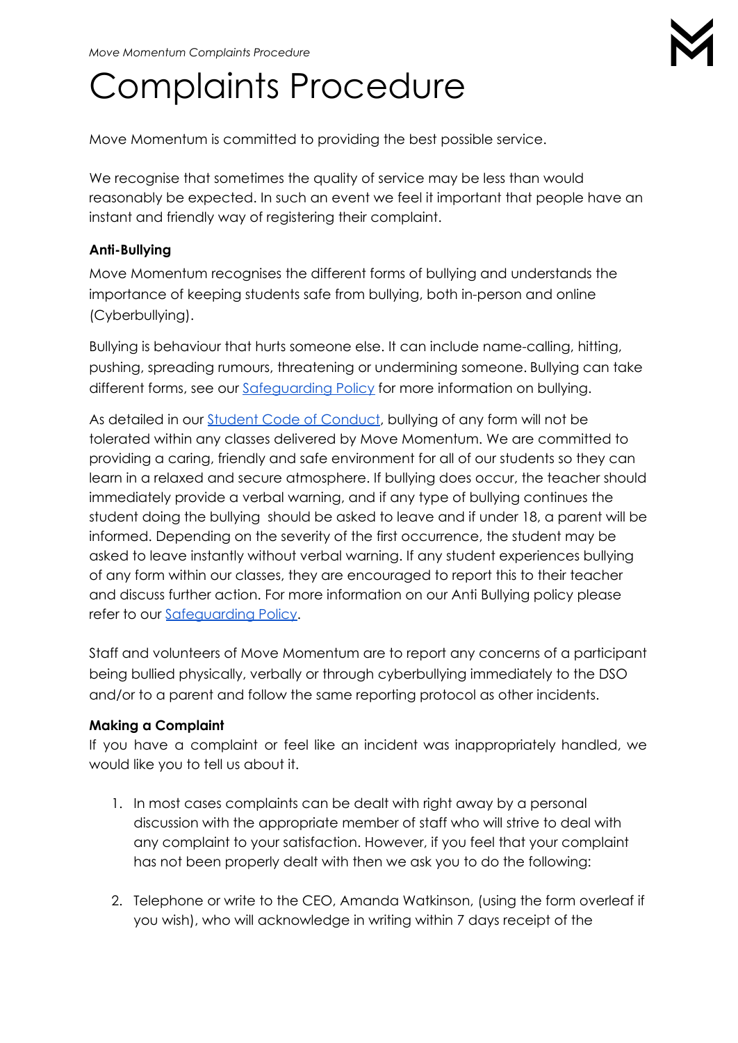# Complaints Procedure

Move Momentum is committed to providing the best possible service.

We recognise that sometimes the quality of service may be less than would reasonably be expected. In such an event we feel it important that people have an instant and friendly way of registering their complaint.

#### **Anti-Bullying**

Move Momentum recognises the different forms of bullying and understands the importance of keeping students safe from bullying, both in-person and online (Cyberbullying).

Bullying is behaviour that hurts someone else. It can include name-calling, hitting, pushing, spreading rumours, threatening or undermining someone. Bullying can take different forms, see our [Safeguarding](https://www.movemomentum.co.uk/_files/ugd/d16497_06a721116e774bfb95d14954926bc970.pdf) Policy for more information on bullying.

As detailed in our Student Code of [Conduct](https://www.movemomentum.co.uk/_files/ugd/d16497_3ba1dd3a2c0c44d8aa14527a3c0e1c26.pdf), bullying of any form will not be tolerated within any classes delivered by Move Momentum. We are committed to providing a caring, friendly and safe environment for all of our students so they can learn in a relaxed and secure atmosphere. If bullying does occur, the teacher should immediately provide a verbal warning, and if any type of bullying continues the student doing the bullying should be asked to leave and if under 18, a parent will be informed. Depending on the severity of the first occurrence, the student may be asked to leave instantly without verbal warning. If any student experiences bullying of any form within our classes, they are encouraged to report this to their teacher and discuss further action. For more information on our Anti Bullying policy please refer to our Safequarding Policy.

Staff and volunteers of Move Momentum are to report any concerns of a participant being bullied physically, verbally or through cyberbullying immediately to the DSO and/or to a parent and follow the same reporting protocol as other incidents.

### **Making a Complaint**

If you have a complaint or feel like an incident was inappropriately handled, we would like you to tell us about it.

- 1. In most cases complaints can be dealt with right away by a personal discussion with the appropriate member of staff who will strive to deal with any complaint to your satisfaction. However, if you feel that your complaint has not been properly dealt with then we ask you to do the following:
- 2. Telephone or write to the CEO, Amanda Watkinson, (using the form overleaf if you wish), who will acknowledge in writing within 7 days receipt of the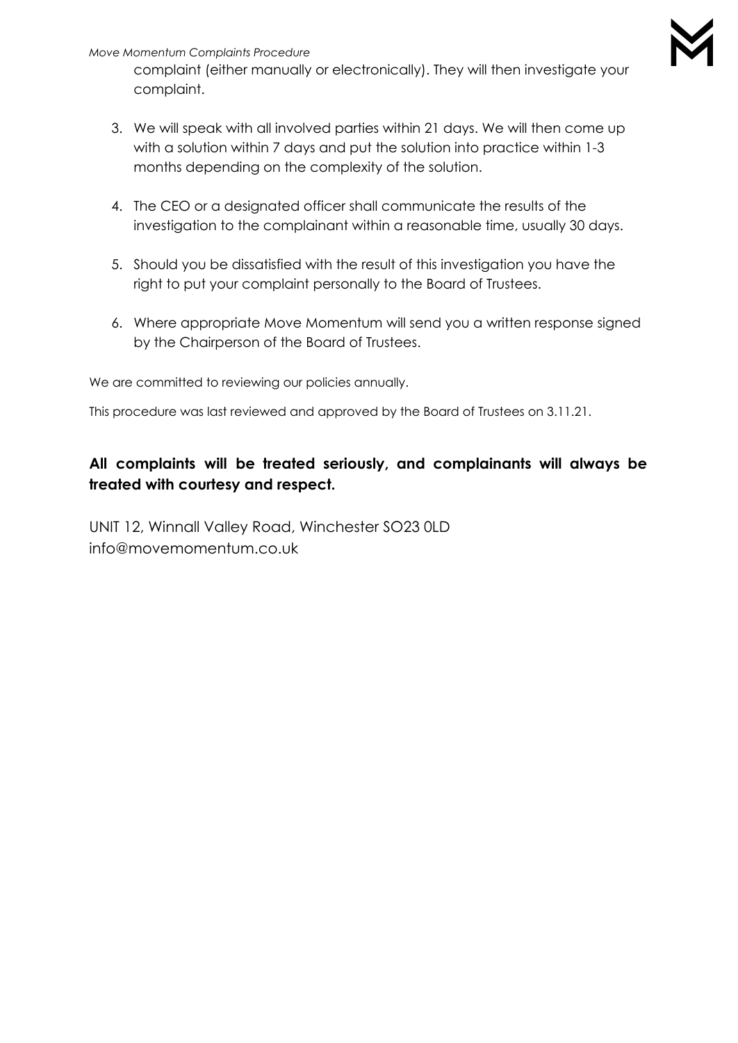#### *Move Momentum Complaints Procedure*

complaint (either manually or electronically). They will then investigate your complaint.

- 3. We will speak with all involved parties within 21 days. We will then come up with a solution within 7 days and put the solution into practice within 1-3 months depending on the complexity of the solution.
- 4. The CEO or a designated officer shall communicate the results of the investigation to the complainant within a reasonable time, usually 30 days.
- 5. Should you be dissatisfied with the result of this investigation you have the right to put your complaint personally to the Board of Trustees.
- 6. Where appropriate Move Momentum will send you a written response signed by the Chairperson of the Board of Trustees.

We are committed to reviewing our policies annually.

This procedure was last reviewed and approved by the Board of Trustees on 3.11.21.

## **All complaints will be treated seriously, and complainants will always be treated with courtesy and respect.**

UNIT 12, Winnall Valley Road, Winchester SO23 0LD info@movemomentum.co.uk